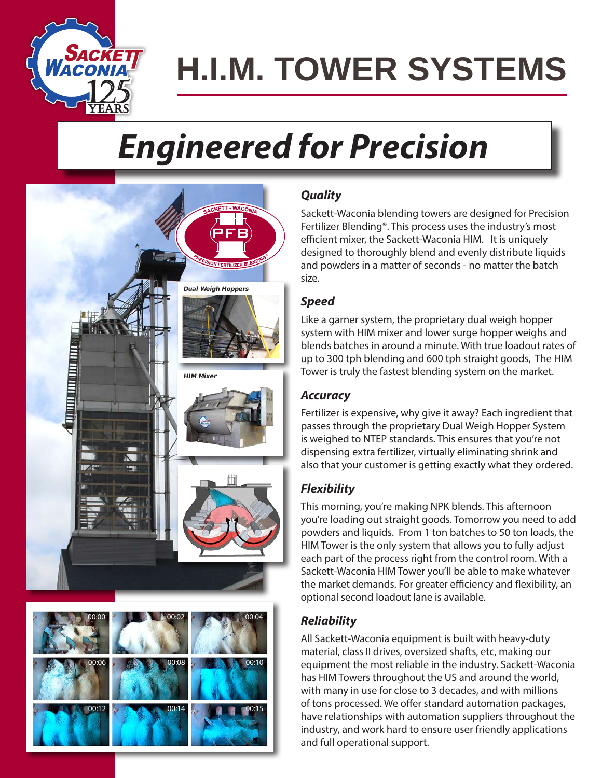

# **H.I.M. TOWER SYSTEMS**

## *Engineered for Precision*





## *Quality*

Sackett-Waconia blending towers are designed for Precision Fertilizer Blending®. This process uses the industry's most efficient mixer, the Sackett-Waconia HIM. It is uniquely designed to thoroughly blend and evenly distribute liquids and powders in a matter of seconds - no matter the batch size.

### *Speed*

Like a garner system, the proprietary dual weigh hopper system with HIM mixer and lower surge hopper weighs and blends batches in around a minute. With true loadout rates of up to 300 tph blending and 600 tph straight goods, The HIM Tower is truly the fastest blending system on the market.

### *Accuracy*

Fertilizer is expensive, why give it away? Each ingredient that passes through the proprietary Dual Weigh Hopper System is weighed to NTEP standards. This ensures that you're not dispensing extra fertilizer, virtually eliminating shrink and also that your customer is getting exactly what they ordered.

### *Flexibility*

This morning, you're making NPK blends. This afternoon you're loading out straight goods. Tomorrow you need to add powders and liquids. From 1 ton batches to 50 ton loads, the HIM Tower is the only system that allows you to fully adjust each part of the process right from the control room. With a Sackett-Waconia HIM Tower you'll be able to make whatever the market demands. For greater efficiency and flexibility, an optional second loadout lane is available.

## *Reliability*

All Sackett-Waconia equipment is built with heavy-duty material, class II drives, oversized shafts, etc, making our equipment the most reliable in the industry. Sackett-Waconia has HIM Towers throughout the US and around the world, with many in use for close to 3 decades, and with millions of tons processed. We offer standard automation packages, have relationships with automation suppliers throughout the industry, and work hard to ensure user friendly applications and full operational support.